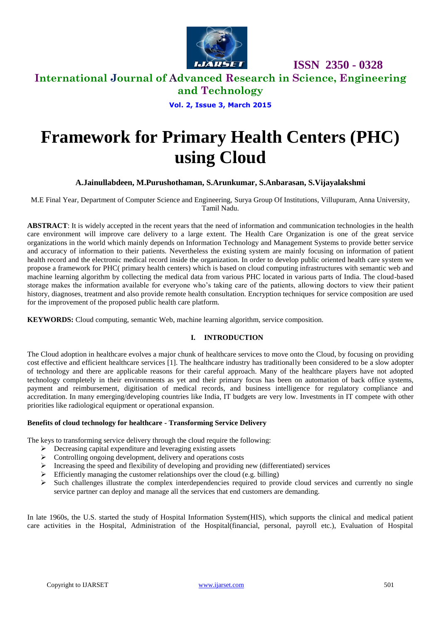

 **ISSN 2350 - 0328**

**International Journal of Advanced Research in Science, Engineering** 

**and Technology**

**Vol. 2, Issue 3, March 2015**

# **Framework for Primary Health Centers (PHC) using Cloud**

**A.Jainullabdeen, M.Purushothaman, S.Arunkumar, S.Anbarasan, S.Vijayalakshmi**

M.E Final Year, Department of Computer Science and Engineering, Surya Group Of Institutions, Villupuram, Anna University, Tamil Nadu.

**ABSTRACT**: It is widely accepted in the recent years that the need of information and communication technologies in the health care environment will improve care delivery to a large extent. The Health Care Organization is one of the great service organizations in the world which mainly depends on Information Technology and Management Systems to provide better service and accuracy of information to their patients. Nevertheless the existing system are mainly focusing on information of patient health record and the electronic medical record inside the organization. In order to develop public oriented health care system we propose a framework for PHC( primary health centers) which is based on cloud computing infrastructures with semantic web and machine learning algorithm by collecting the medical data from various PHC located in various parts of India. The cloud-based storage makes the information available for everyone who's taking care of the patients, allowing doctors to view their patient history, diagnoses, treatment and also provide remote health consultation. Encryption techniques for service composition are used for the improvement of the proposed public health care platform.

**KEYWORDS:** Cloud computing, semantic Web, machine learning algorithm, service composition.

#### **I. INTRODUCTION**

The Cloud adoption in healthcare evolves a major chunk of healthcare services to move onto the Cloud, by focusing on providing cost effective and efficient healthcare services [1]. The healthcare industry has traditionally been considered to be a slow adopter of technology and there are applicable reasons for their careful approach. Many of the healthcare players have not adopted technology completely in their environments as yet and their primary focus has been on automation of back office systems, payment and reimbursement, digitisation of medical records, and business intelligence for regulatory compliance and accreditation. In many emerging/developing countries like India, IT budgets are very low. Investments in IT compete with other priorities like radiological equipment or operational expansion.

#### **Benefits of cloud technology for healthcare - Transforming Service Delivery**

The keys to transforming service delivery through the cloud require the following:

- $\triangleright$  Decreasing capital expenditure and leveraging existing assets
- $\triangleright$  Controlling ongoing development, delivery and operations costs
- $\triangleright$  Increasing the speed and flexibility of developing and providing new (differentiated) services
- $\triangleright$  Efficiently managing the customer relationships over the cloud (e.g. billing)
- $\triangleright$  Such challenges illustrate the complex interdependencies required to provide cloud services and currently no single service partner can deploy and manage all the services that end customers are demanding.

In late 1960s, the U.S. started the study of Hospital Information System(HIS), which supports the clinical and medical patient care activities in the Hospital, Administration of the Hospital(financial, personal, payroll etc.), Evaluation of Hospital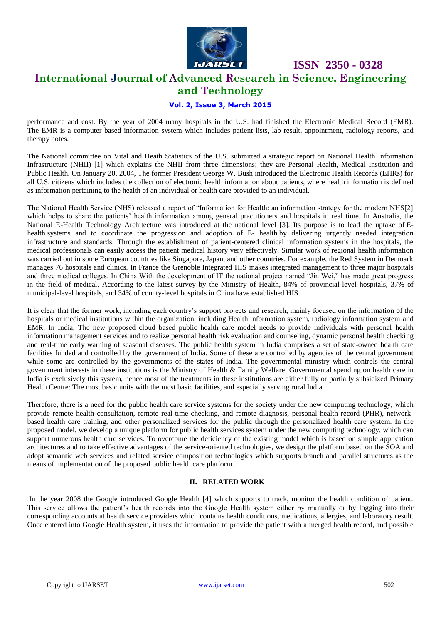

# **ISSN 2350 - 0328 International Journal of Advanced Research in Science, Engineering**

## **and Technology**

#### **Vol. 2, Issue 3, March 2015**

performance and cost. By the year of 2004 many hospitals in the U.S. had finished the Electronic Medical Record (EMR). The EMR is a computer based information system which includes patient lists, lab result, appointment, radiology reports, and therapy notes.

The National committee on Vital and Heath Statistics of the U.S. submitted a strategic report on National Health Information Infrastructure (NHII) [1] which explains the NHII from three dimensions; they are Personal Health, Medical Institution and Public Health. On January 20, 2004, The former President George W. Bush introduced the Electronic Health Records (EHRs) for all U.S. citizens which includes the collection of electronic health information about patients, where health information is defined as information pertaining to the health of an individual or health care provided to an individual.

The National Health Service (NHS) released a report of "Information for Health: an information strategy for the modern NHS[2] which helps to share the patients' health information among general practitioners and hospitals in real time. In Australia, the National E-Health Technology Architecture was introduced at the national level [3]. Its purpose is to lead the uptake of Ehealth systems and to coordinate the progression and adoption of E- health by delivering urgently needed integration infrastructure and standards. Through the establishment of patient-centered clinical information systems in the hospitals, the medical professionals can easily access the patient medical history very effectively. Similar work of regional health information was carried out in some European countries like Singapore, Japan, and other countries. For example, the Red System in Denmark manages 76 hospitals and clinics. In France the Grenoble Integrated HIS makes integrated management to three major hospitals and three medical colleges. In China With the development of IT the national project named "Jin Wei," has made great progress in the field of medical. According to the latest survey by the Ministry of Health, 84% of provincial-level hospitals, 37% of municipal-level hospitals, and 34% of county-level hospitals in China have established HIS.

It is clear that the former work, including each country's support projects and research, mainly focused on the information of the hospitals or medical institutions within the organization, including Health information system, radiology information system and EMR. In India, The new proposed cloud based public health care model needs to provide individuals with personal health information management services and to realize personal health risk evaluation and counseling, dynamic personal health checking and real-time early warning of seasonal diseases. The public health system in India comprises a set of state-owned [health care](http://en.wikipedia.org/wiki/Health_care) facilities funded and controlled by the [government of India.](http://en.wikipedia.org/wiki/Government_of_India) Some of these are controlled by agencies of the central government while some are controlled by the governments of the [states of India.](http://en.wikipedia.org/wiki/States_of_India) The governmental ministry which controls the central government interests in these institutions is the [Ministry of Health & Family Welfare.](http://en.wikipedia.org/wiki/Ministry_of_Health_and_Family_Welfare_%28India%29) Governmental spending on health care in India is exclusively this system, hence most of the treatments in these institutions are either fully or partially subsidized [Primary](http://en.wikipedia.org/wiki/Primary_Health_Centre,_India)  [Health Centre:](http://en.wikipedia.org/wiki/Primary_Health_Centre,_India) The most basic units with the most basic facilities, and especially serving rural India

Therefore, there is a need for the public health care service systems for the society under the new computing technology, which provide remote health consultation, remote real-time checking, and remote diagnosis, personal health record (PHR), networkbased health care training, and other personalized services for the public through the personalized health care system. In the proposed model, we develop a unique platform for public health services system under the new computing technology, which can support numerous health care services. To overcome the deficiency of the existing model which is based on simple application architectures and to take effective advantages of the service-oriented technologies, we design the platform based on the SOA and adopt semantic web services and related service composition technologies which supports branch and parallel structures as the means of implementation of the proposed public health care platform.

#### **II. RELATED WORK**

In the year 2008 the Google introduced Google Health [4] which supports to track, monitor the health condition of patient. This service allows the patient's health records into the Google Health system either by manually or by logging into their corresponding accounts at health service providers which contains health conditions, medications, allergies, and laboratory result. Once entered into Google Health system, it uses the information to provide the patient with a merged health record, and possible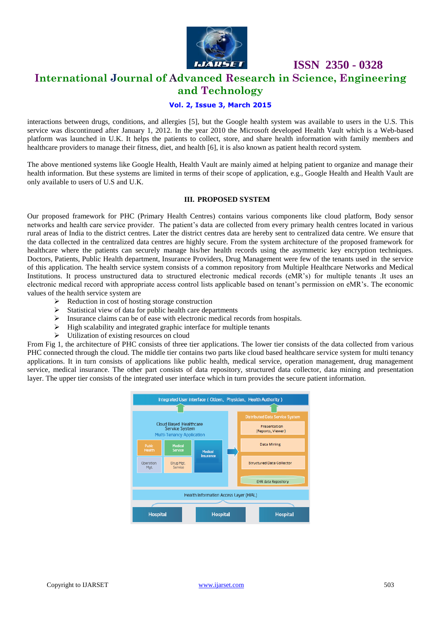

# **ISSN 2350 - 0328**

## **International Journal of Advanced Research in Science, Engineering and Technology**

#### **Vol. 2, Issue 3, March 2015**

interactions between drugs, conditions, and allergies [5], but the Google health system was available to users in the U.S. This service was discontinued after January 1, 2012. In the year 2010 the Microsoft developed Health Vault which is a Web-based platform was launched in U.K. It helps the patients to collect, store, and share health information with family members and healthcare providers to manage their fitness, diet, and health [6], it is also known as patient health record system.

The above mentioned systems like Google Health, Health Vault are mainly aimed at helping patient to organize and manage their health information. But these systems are limited in terms of their scope of application, e.g., Google Health and Health Vault are only available to users of U.S and U.K.

#### **III. PROPOSED SYSTEM**

Our proposed framework for PHC (Primary Health Centres) contains various components like cloud platform, Body sensor networks and health care service provider. The patient's data are collected from every primary health centres located in various rural areas of India to the district centres. Later the district centres data are hereby sent to centralized data centre. We ensure that the data collected in the centralized data centres are highly secure. From the system architecture of the proposed framework for healthcare where the patients can securely manage his/her health records using the asymmetric key encryption techniques. Doctors, Patients, Public Health department, Insurance Providers, Drug Management were few of the tenants used in the service of this application. The health service system consists of a common repository from Multiple Healthcare Networks and Medical Institutions. It process unstructured data to structured electronic medical records (eMR's) for multiple tenants .It uses an electronic medical record with appropriate access control lists applicable based on tenant's permission on eMR's. The economic values of the health service system are

- $\triangleright$  Reduction in cost of hosting storage construction
- $\triangleright$  Statistical view of data for public health care departments
- $\triangleright$  Insurance claims can be of ease with electronic medical records from hospitals.
- $\triangleright$  High scalability and integrated graphic interface for multiple tenants
- $\triangleright$  Utilization of existing resources on cloud

From Fig 1, the architecture of PHC consists of three tier applications. The lower tier consists of the data collected from various PHC connected through the cloud. The middle tier contains two parts like cloud based healthcare service system for multi tenancy applications. It in turn consists of applications like public health, medical service, operation management, drug management service, medical insurance. The other part consists of data repository, structured data collector, data mining and presentation layer. The upper tier consists of the integrated user interface which in turn provides the secure patient information.

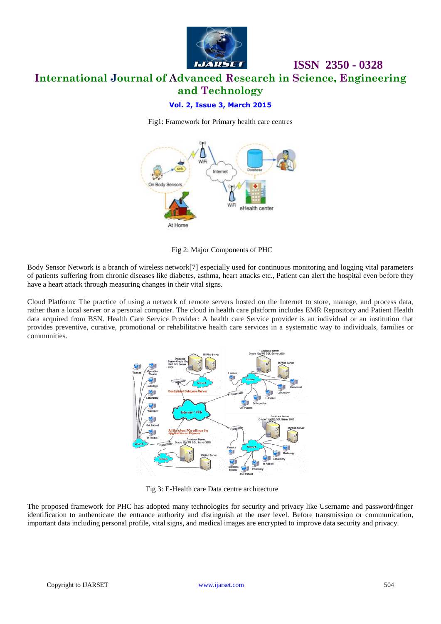

# **International Journal of Advanced Research in Science, Engineering and Technology**

### **Vol. 2, Issue 3, March 2015**

Fig1: Framework for Primary health care centres



Fig 2: Major Components of PHC

Body Sensor Network is a branch of wireless network[7] especially used for continuous monitoring and logging vital parameters of patients suffering from chronic diseases like diabetes, asthma, heart attacks etc., Patient can alert the hospital even before they have a heart attack through measuring changes in their vital signs.

Cloud Platform: The practice of using a network of remote servers hosted on the Internet to store, manage, and process data, rather than a local server or a personal computer. The cloud in health care platform includes EMR Repository and Patient Health data acquired from BSN. Health Care Service Provider: A health care Service provider is an individual or an institution that provides preventive, curative, promotional or rehabilitative health care services in a systematic way to individuals, families or communities.



Fig 3: E-Health care Data centre architecture

The proposed framework for PHC has adopted many technologies for security and privacy like Username and password/finger identification to authenticate the entrance authority and distinguish at the user level. Before transmission or communication, important data including personal profile, vital signs, and medical images are encrypted to improve data security and privacy.